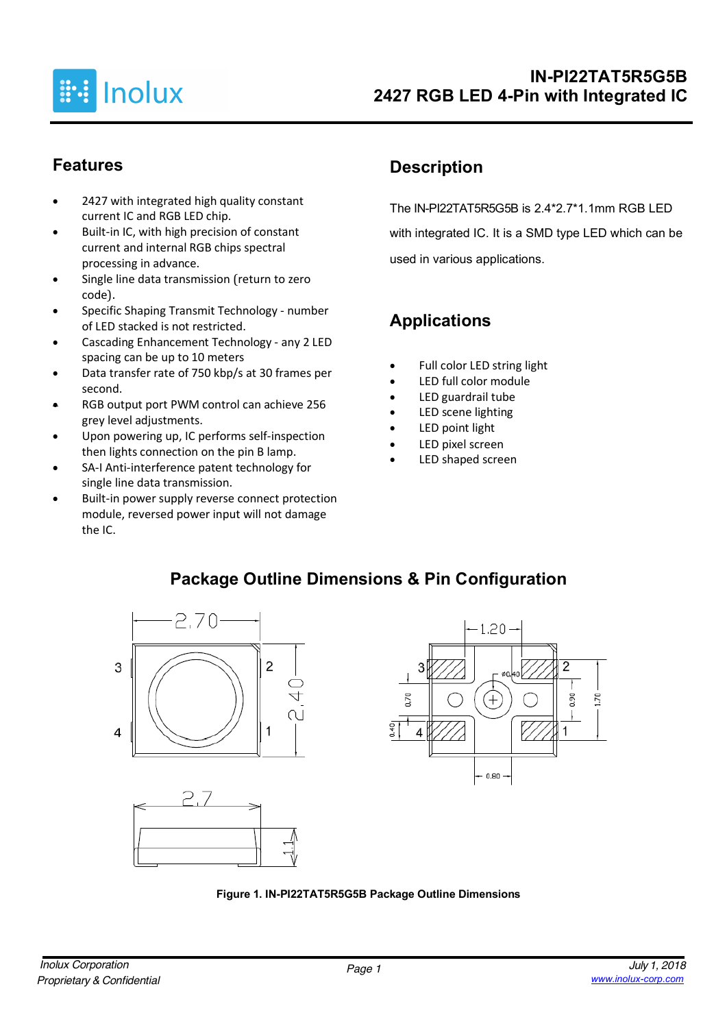

### **Features**

- 2427 with integrated high quality constant current IC and RGB LED chip.
- Built-in IC, with high precision of constant current and internal RGB chips spectral processing in advance.
- Single line data transmission (return to zero code).
- Specific Shaping Transmit Technology number of LED stacked is not restricted.
- Cascading Enhancement Technology any 2 LED spacing can be up to 10 meters
- Data transfer rate of 750 kbp/s at 30 frames per second.
- RGB output port PWM control can achieve 256 grey level adjustments.
- Upon powering up, IC performs self-inspection then lights connection on the pin B lamp.
- SA-I Anti-interference patent technology for single line data transmission.
- Built-in power supply reverse connect protection module, reversed power input will not damage the IC.

## **Description**

The IN-PI22TAT5R5G5B is 2.4\*2.7\*1.1mm RGB LED with integrated IC. It is a SMD type LED which can be used in various applications.

# **Applications**

- Full color LED string light
- LED full color module
- LED guardrail tube
- LED scene lighting
- LED point light
- LED pixel screen
- LED shaped screen

### **Package Outline Dimensions & Pin Configuration**







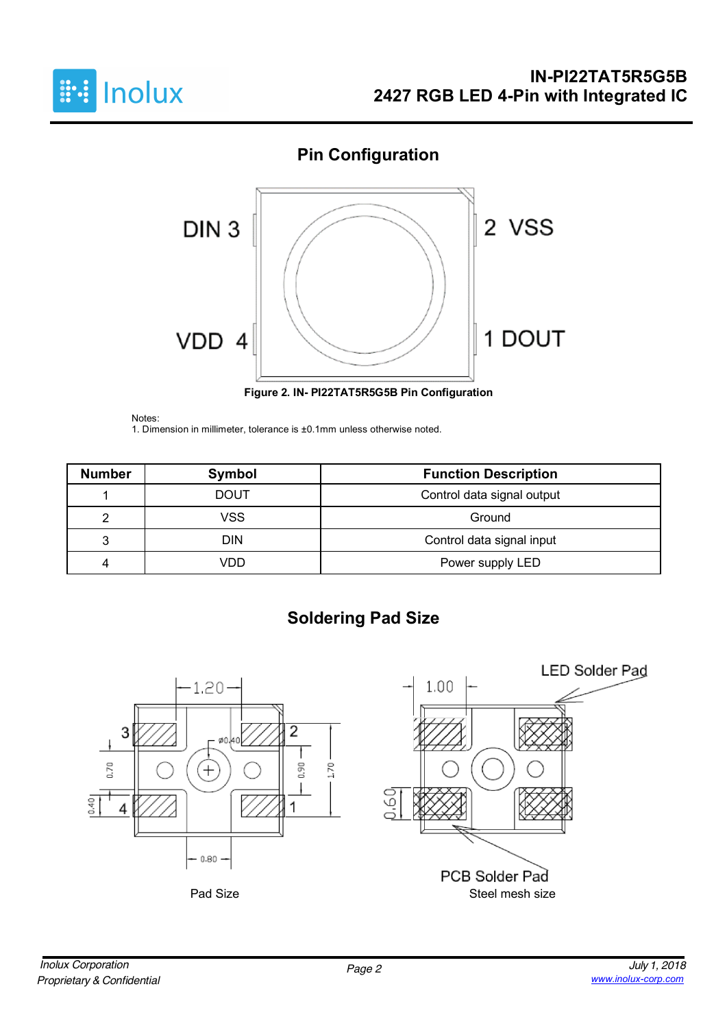

## **Pin Configuration**



**Figure 2. IN- PI22TAT5R5G5B Pin Configuration**

Notes:

1. Dimension in millimeter, tolerance is ±0.1mm unless otherwise noted.

| <b>Number</b> | Symbol                                    | <b>Function Description</b> |  |  |  |
|---------------|-------------------------------------------|-----------------------------|--|--|--|
|               | Control data signal output<br><b>DOUT</b> |                             |  |  |  |
|               | VSS                                       | Ground                      |  |  |  |
| 3             | DIN                                       | Control data signal input   |  |  |  |
| 4             | VDD.                                      | Power supply LED            |  |  |  |

# **Soldering Pad Size**

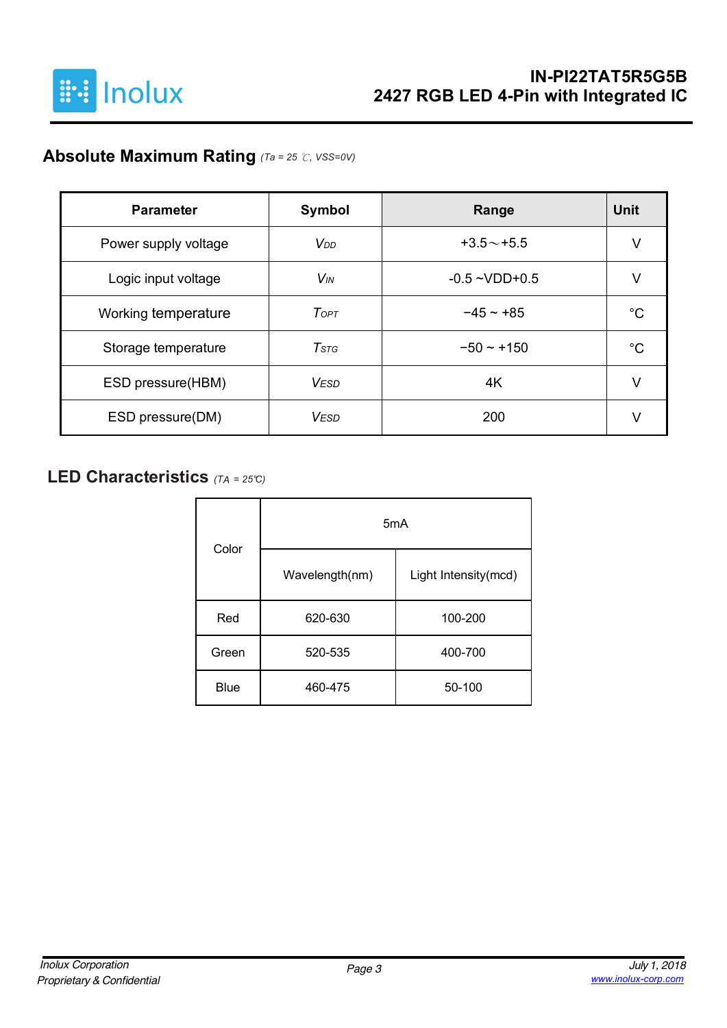

## **Absolute Maximum Rating** *(Ta = 25* ℃*, VSS=0V)*

| <b>Parameter</b>     | Symbol                 | Range              | Unit |
|----------------------|------------------------|--------------------|------|
| Power supply voltage | <b>V</b> <sub>DD</sub> | $+3.5 \sim +5.5$   | V    |
| Logic input voltage  | <b>V<sub>IN</sub></b>  | $-0.5 - VDD + 0.5$ |      |
| Working temperature  | ToPT                   | $-45 - +85$        | °C   |
| Storage temperature  | $T$ stg                | $-50 - +150$       | °C   |
| ESD pressure(HBM)    | <b>VESD</b>            | 4K                 | V    |
| ESD pressure(DM)     | <b>VESD</b>            | 200                |      |

### **LED Characteristics** *(TA <sup>=</sup> 25°C)*

| Color       |                | 5 <sub>m</sub> A     |
|-------------|----------------|----------------------|
|             | Wavelength(nm) | Light Intensity(mcd) |
| Red         | 620-630        | 100-200              |
| Green       | 520-535        | 400-700              |
| <b>Blue</b> | 460-475        | 50-100               |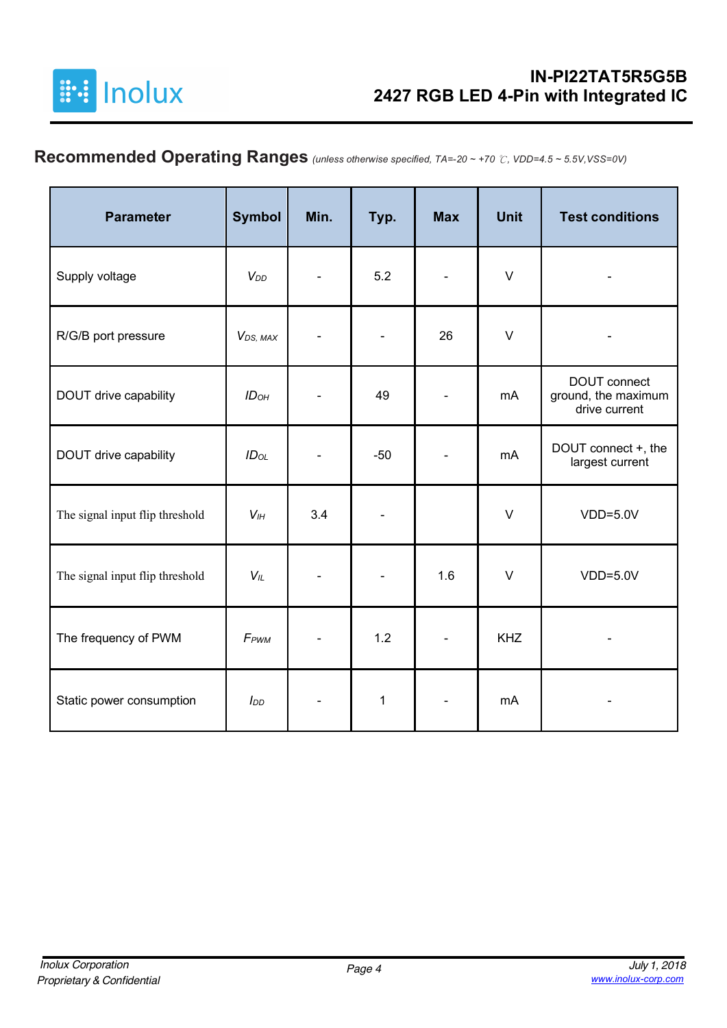

# **Recommended Operating Ranges** *(unless otherwise specified, TA=-20 ~ +70* ℃*, VDD=4.5 ~ 5.5V,VSS=0V)*

| <b>Parameter</b>                | <b>Symbol</b>          | Min. | Typ.         | <b>Max</b>               | <b>Unit</b> | <b>Test conditions</b>                               |
|---------------------------------|------------------------|------|--------------|--------------------------|-------------|------------------------------------------------------|
| Supply voltage                  | <b>V</b> <sub>DD</sub> |      | 5.2          | $\blacksquare$           | $\vee$      |                                                      |
| R/G/B port pressure             | V <sub>DS</sub> , MAX  |      |              | 26                       | $\vee$      |                                                      |
| DOUT drive capability           | ID <sub>OH</sub>       |      | 49           |                          | mA          | DOUT connect<br>ground, the maximum<br>drive current |
| DOUT drive capability           | $ID_{OL}$              |      | $-50$        |                          | mA          | DOUT connect +, the<br>largest current               |
| The signal input flip threshold | V <sub>IH</sub>        | 3.4  |              |                          | $\vee$      | $VDD=5.0V$                                           |
| The signal input flip threshold | $V_{IL}$               |      |              | 1.6                      | $\vee$      | $VDD=5.0V$                                           |
| The frequency of PWM            | F <sub>PWM</sub>       |      | 1.2          | $\overline{\phantom{a}}$ | <b>KHZ</b>  |                                                      |
| Static power consumption        | $I_{DD}$               |      | $\mathbf{1}$ |                          | mA          |                                                      |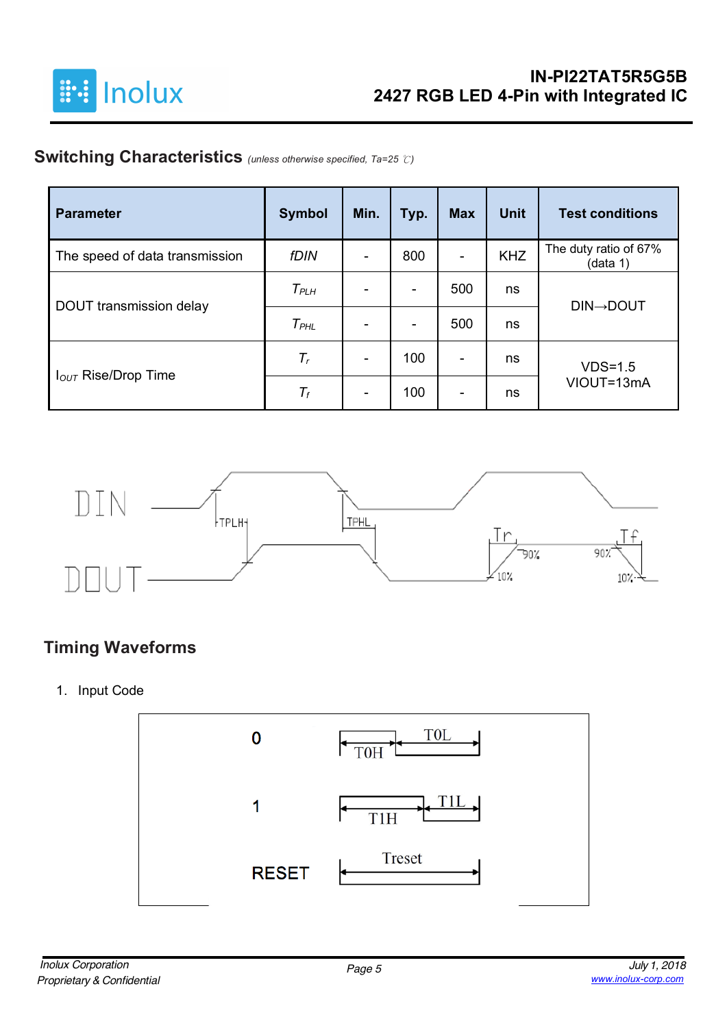

## **Switching Characteristics** *(unless otherwise specified, Ta=25* ℃*)*

| <b>Parameter</b>                | <b>Symbol</b> | Min. | Typ.                     | <b>Max</b> | <b>Unit</b> | <b>Test conditions</b>            |
|---------------------------------|---------------|------|--------------------------|------------|-------------|-----------------------------------|
| The speed of data transmission  | <b>fDIN</b>   |      | 800                      | ۰          | <b>KHZ</b>  | The duty ratio of 67%<br>(data 1) |
|                                 | $T_{PLH}$     |      | $\overline{\phantom{0}}$ | 500        | ns          | <b>DIN→DOUT</b>                   |
| DOUT transmission delay         | $T_{PHL}$     |      | ۰                        | 500        | ns          |                                   |
|                                 | $T_r$         |      | 100                      | ۰          | ns          | $VDS=1.5$                         |
| I <sub>OUT</sub> Rise/Drop Time | $T_f$         |      | 100                      | ۰          | ns          | VIOUT=13mA                        |



### **Timing Waveforms**

1. Input Code

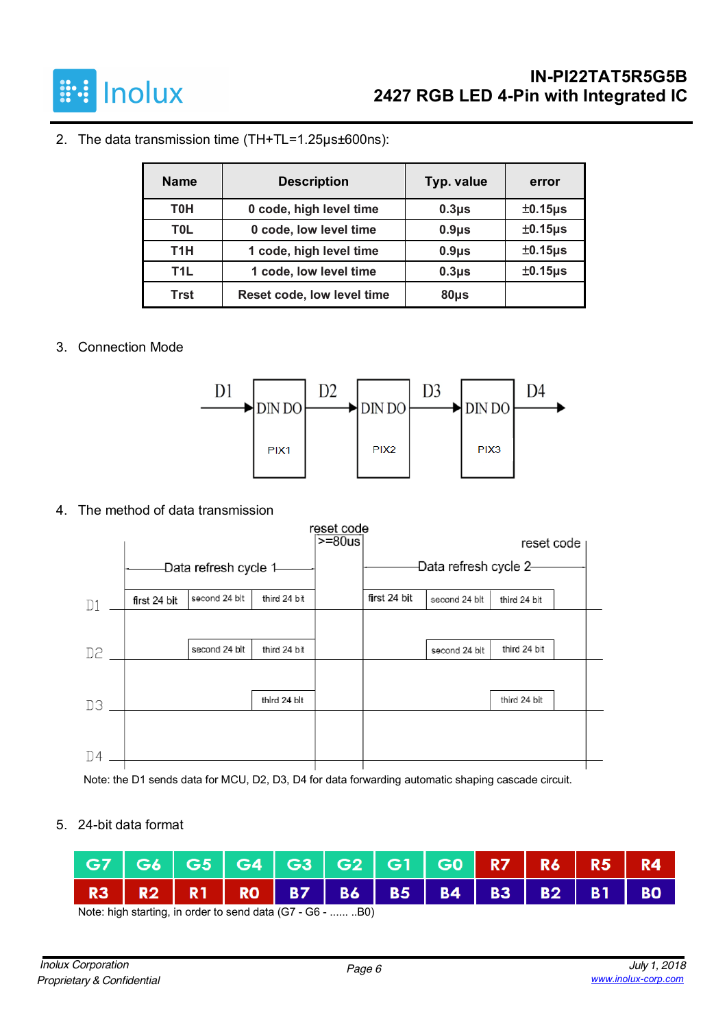

#### 2. The data transmission time (TH+TL=1.25µs±600ns):

| <b>Name</b>      | <b>Description</b>         | Typ. value | error        |
|------------------|----------------------------|------------|--------------|
| <b>T0H</b>       | 0 code, high level time    | $0.3µ$ s   | $±0.15\mu s$ |
| <b>TOL</b>       | 0 code, low level time     | $0.9µ$ s   | $±0.15\mu s$ |
| T <sub>1</sub> H | 1 code, high level time    | $0.9\mu$ s | $±0.15\mu s$ |
| T1L              | 1 code, low level time     | $0.3µ$ s   | $±0.15\mu s$ |
| Trst             | Reset code, low level time | $80µ$ s    |              |

#### 3. Connection Mode



#### 4. The method of data transmission



Note: the D1 sends data for MCU, D2, D3, D4 for data forwarding automatic shaping cascade circuit.

#### 5. 24-bit data format

| G7 G6 G5 G4 G3 G2 G1 G0 R7 R6 R5 R4 |  |  |  |  |  |  |
|-------------------------------------|--|--|--|--|--|--|
| R3 R2 R1 R0 B7 B6 B5 B4 B3 B2 B1 B0 |  |  |  |  |  |  |

Note: high starting, in order to send data (G7 - G6 - ...... ..B0)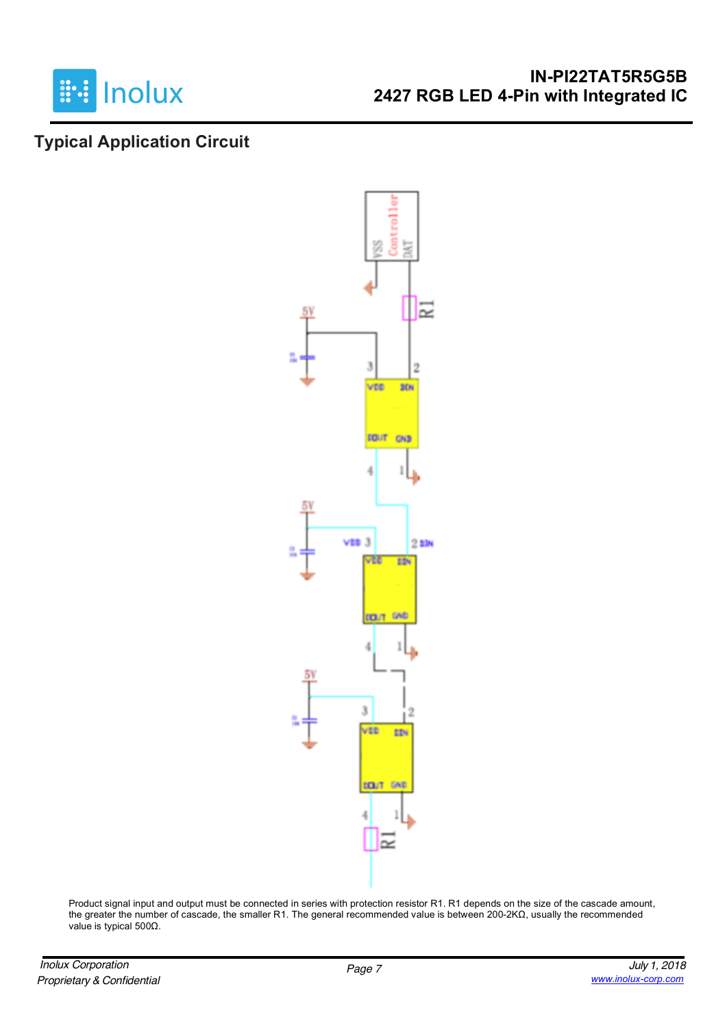

#### **IN-PI22TAT5R5G5B 2427 RGB LED 4-Pin with Integrated IC**

### **Typical Application Circuit**



Product signal input and output must be connected in series with protection resistor R1. R1 depends on the size of the cascade amount, the greater the number of cascade, the smaller R1. The general recommended value is between 200-2KΩ, usually the recommended value is typical 500Ω.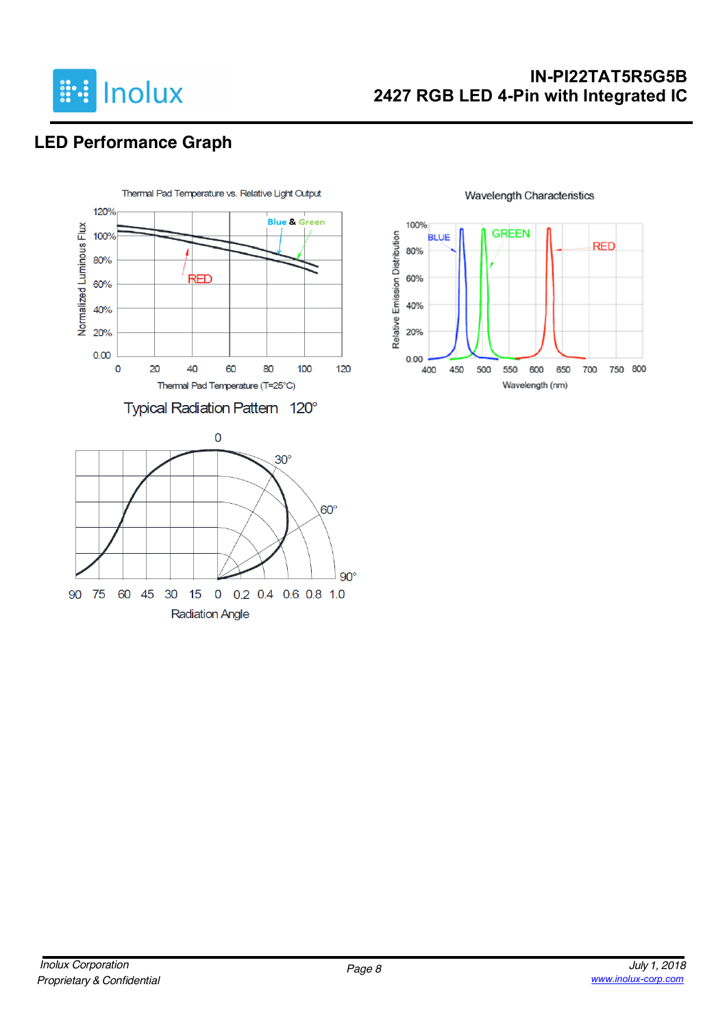

## **IN-PI22TAT5R5G5B 2427 RGB LED 4-Pin with Integrated IC**

# **LED Performance Graph**





#### **Wavelength Characteristics**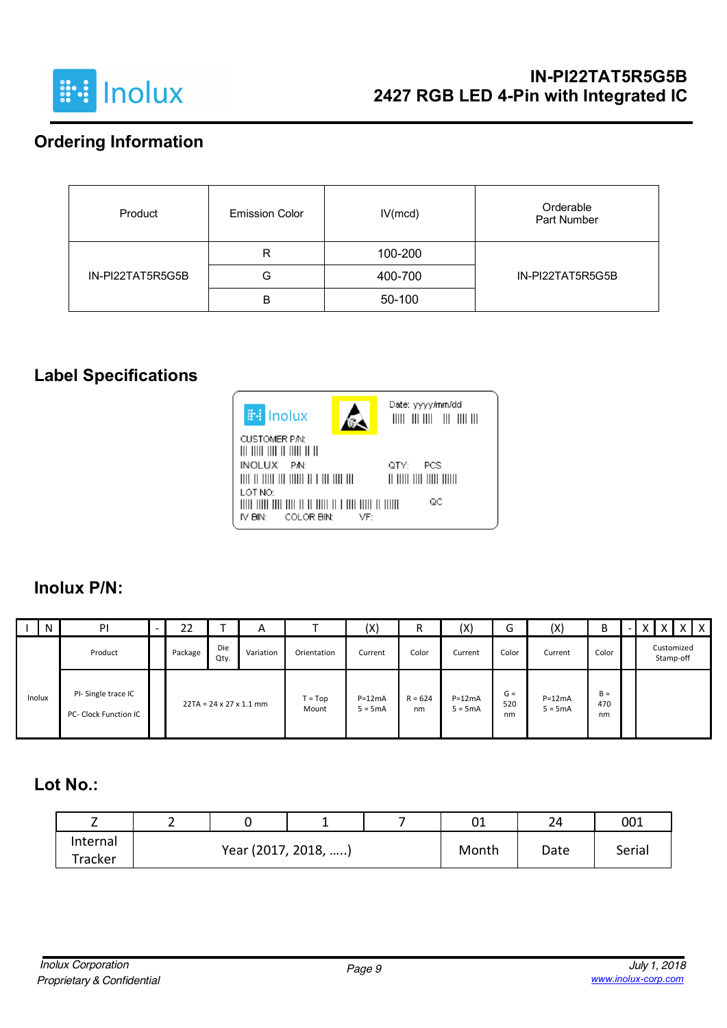

## **Ordering Information**

| Product          | <b>Emission Color</b> | IV(mcd) | Orderable<br>Part Number |
|------------------|-----------------------|---------|--------------------------|
|                  | R                     | 100-200 |                          |
| IN-PI22TAT5R5G5B | G                     | 400-700 | IN-PI22TAT5R5G5B         |
|                  | В                     | 50-100  |                          |

### **Label Specifications**



#### **Inolux P/N:**

|        | $\mathsf{N}$ | PI                                                 | 22      |             | A                                   |                    | (X)                   | D<br>n          | (X)                   | ∽<br>G             | (X)                   | B                  | $\lambda$ |                         | l X |
|--------|--------------|----------------------------------------------------|---------|-------------|-------------------------------------|--------------------|-----------------------|-----------------|-----------------------|--------------------|-----------------------|--------------------|-----------|-------------------------|-----|
|        |              | Product                                            | Package | Die<br>Qty. | Variation                           | Orientation        | Current               | Color           | Current               | Color              | Current               | Color              |           | Customized<br>Stamp-off |     |
| Inolux |              | PI-Single trace IC<br><b>PC- Clock Function IC</b> |         |             | $22TA = 24 \times 27 \times 1.1$ mm | $T = Top$<br>Mount | $P=12mA$<br>$5 = 5mA$ | $R = 624$<br>nm | $P=12mA$<br>$5 = 5mA$ | $G =$<br>520<br>nm | $P=12mA$<br>$5 = 5mA$ | $B =$<br>470<br>nm |           |                         |     |

#### **Lot No.:**

|          | - |                     |  |       | ∪⊥   | 24     | 001 |
|----------|---|---------------------|--|-------|------|--------|-----|
| Internal |   | Year (2017, 2018, ) |  | Month | Date | Serial |     |
| Tracker  |   |                     |  |       |      |        |     |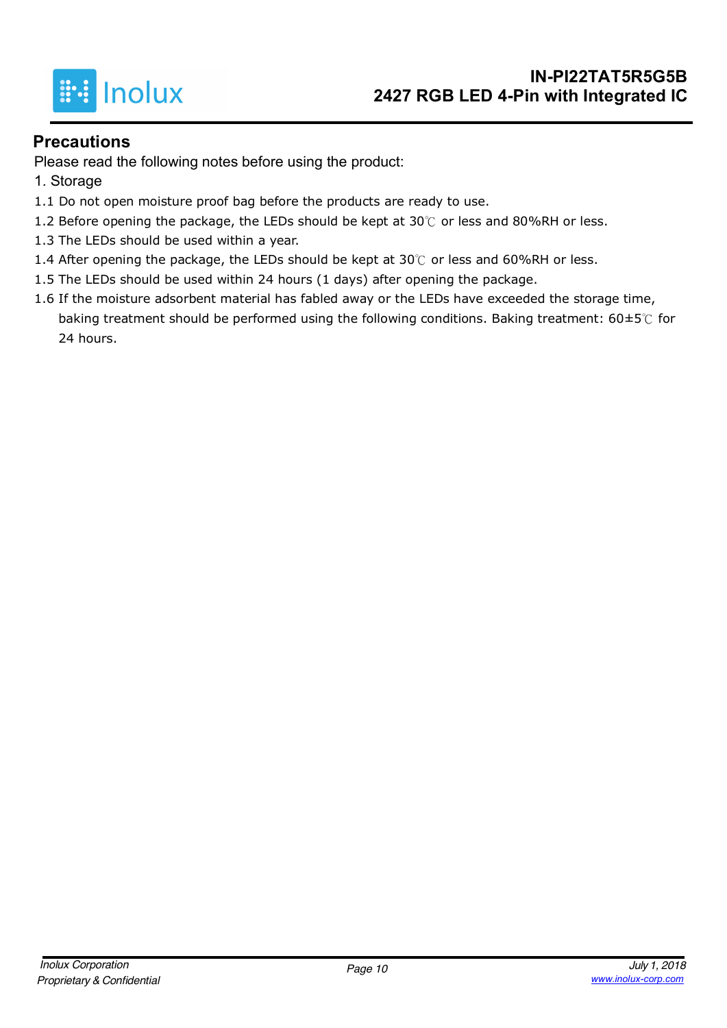

#### **Precautions**

Please read the following notes before using the product:

- 1. Storage
- 1.1 Do not open moisture proof bag before the products are ready to use.
- 1.2 Before opening the package, the LEDs should be kept at 30 $°C$  or less and 80%RH or less.
- 1.3 The LEDs should be used within a year.
- 1.4 After opening the package, the LEDs should be kept at 30℃ or less and 60%RH or less.
- 1.5 The LEDs should be used within 24 hours (1 days) after opening the package.
- 1.6 If the moisture adsorbent material has fabled away or the LEDs have exceeded the storage time, baking treatment should be performed using the following conditions. Baking treatment:  $60\pm5\degree$  for 24 hours.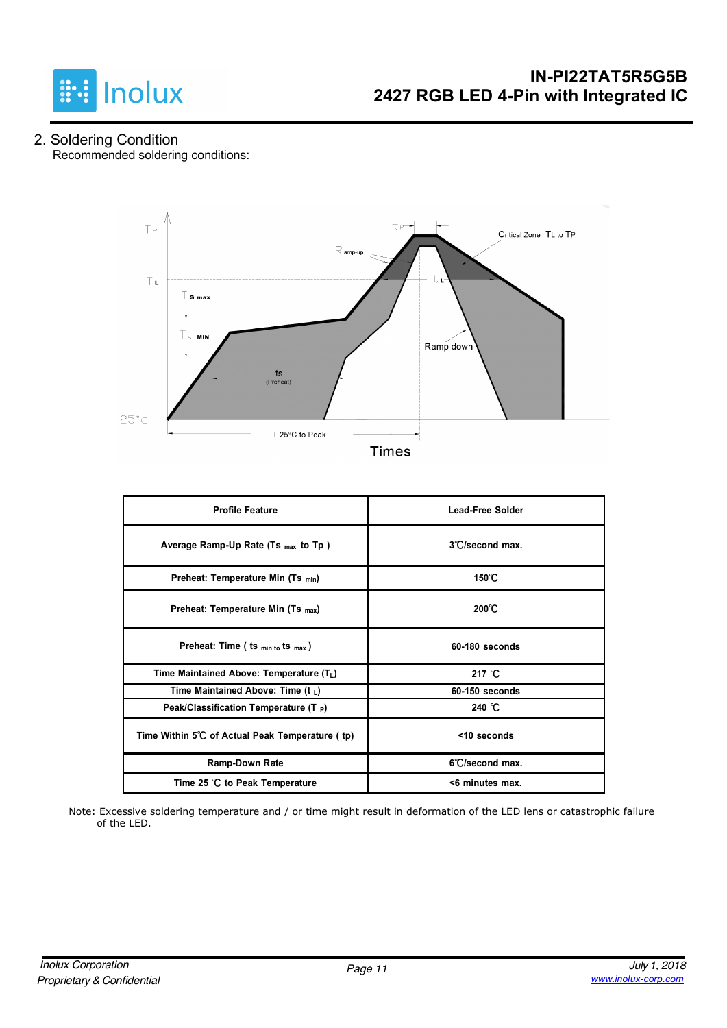

2. Soldering Condition Recommended soldering conditions:



| <b>Profile Feature</b>                          | <b>Lead-Free Solder</b> |
|-------------------------------------------------|-------------------------|
| Average Ramp-Up Rate (Ts $_{max}$ to Tp)        | 3°C/second max.         |
| Preheat: Temperature Min (Ts min)               | 150℃                    |
| Preheat: Temperature Min (Ts <sub>max</sub> )   | $200^{\circ}$ C         |
| Preheat: Time ( ts $_{min\ to}$ ts $_{max}$ )   | 60-180 seconds          |
| Time Maintained Above: Temperature $(T_L)$      | 217 $°C$                |
| Time Maintained Above: Time (t $_L$ )           | 60-150 seconds          |
| Peak/Classification Temperature (T $_P$ )       | 240 $^{\circ}$ C        |
| Time Within 5°C of Actual Peak Temperature (tp) | <10 seconds             |
| Ramp-Down Rate                                  | 6°C/second max.         |
| Time 25 °C to Peak Temperature                  | <6 minutes max.         |

Note: Excessive soldering temperature and / or time might result in deformation of the LED lens or catastrophic failure of the LED.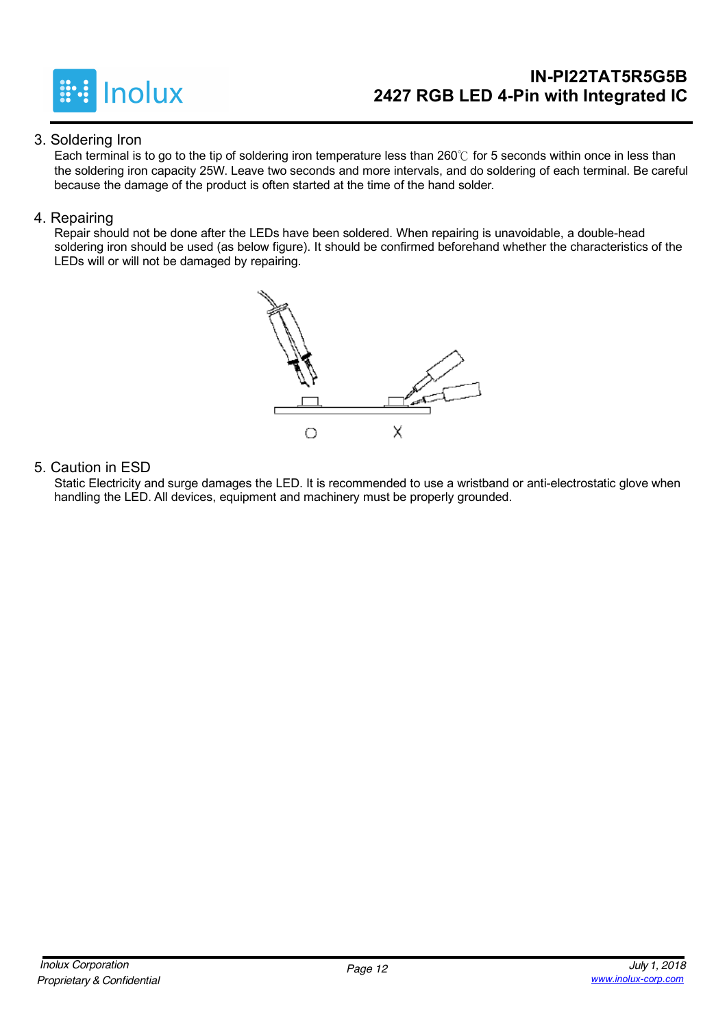

### **IN-PI22TAT5R5G5B 2427 RGB LED 4-Pin with Integrated IC**

#### 3. Soldering Iron

Each terminal is to go to the tip of soldering iron temperature less than 260℃ for 5 seconds within once in less than the soldering iron capacity 25W. Leave two seconds and more intervals, and do soldering of each terminal. Be careful because the damage of the product is often started at the time of the hand solder.

#### 4. Repairing

Repair should not be done after the LEDs have been soldered. When repairing is unavoidable, a double-head soldering iron should be used (as below figure). It should be confirmed beforehand whether the characteristics of the LEDs will or will not be damaged by repairing.



#### 5. Caution in ESD

Static Electricity and surge damages the LED. It is recommended to use a wristband or anti-electrostatic glove when handling the LED. All devices, equipment and machinery must be properly grounded.